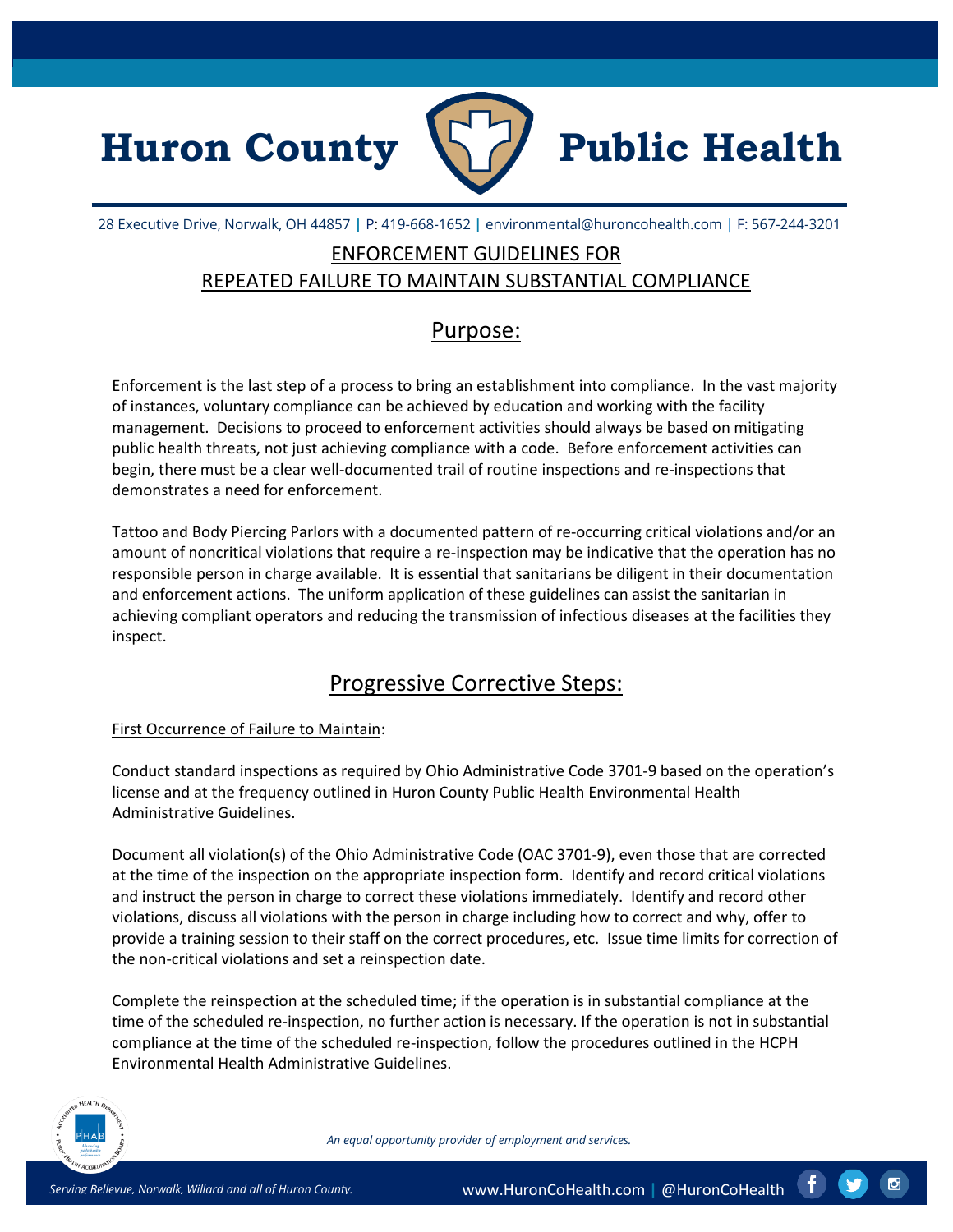



28 Executive Drive, Norwalk, OH 44857 **|** P: 419-668-1652 **|** environmental@huroncohealth.com | F: 567-244-3201

## ENFORCEMENT GUIDELINES FOR REPEATED FAILURE TO MAINTAIN SUBSTANTIAL COMPLIANCE

### Purpose:

Enforcement is the last step of a process to bring an establishment into compliance. In the vast majority of instances, voluntary compliance can be achieved by education and working with the facility management. Decisions to proceed to enforcement activities should always be based on mitigating public health threats, not just achieving compliance with a code. Before enforcement activities can begin, there must be a clear well-documented trail of routine inspections and re-inspections that demonstrates a need for enforcement.

Tattoo and Body Piercing Parlors with a documented pattern of re-occurring critical violations and/or an amount of noncritical violations that require a re-inspection may be indicative that the operation has no responsible person in charge available. It is essential that sanitarians be diligent in their documentation and enforcement actions. The uniform application of these guidelines can assist the sanitarian in achieving compliant operators and reducing the transmission of infectious diseases at the facilities they inspect.

# Progressive Corrective Steps:

#### First Occurrence of Failure to Maintain:

Conduct standard inspections as required by Ohio Administrative Code 3701-9 based on the operation's license and at the frequency outlined in Huron County Public Health Environmental Health Administrative Guidelines.

Document all violation(s) of the Ohio Administrative Code (OAC 3701-9), even those that are corrected at the time of the inspection on the appropriate inspection form. Identify and record critical violations and instruct the person in charge to correct these violations immediately. Identify and record other violations, discuss all violations with the person in charge including how to correct and why, offer to provide a training session to their staff on the correct procedures, etc. Issue time limits for correction of the non-critical violations and set a reinspection date.

Complete the reinspection at the scheduled time; if the operation is in substantial compliance at the time of the scheduled re-inspection, no further action is necessary. If the operation is not in substantial compliance at the time of the scheduled re-inspection, follow the procedures outlined in the HCPH Environmental Health Administrative Guidelines.



*An equal opportunity provider of employment and services.*